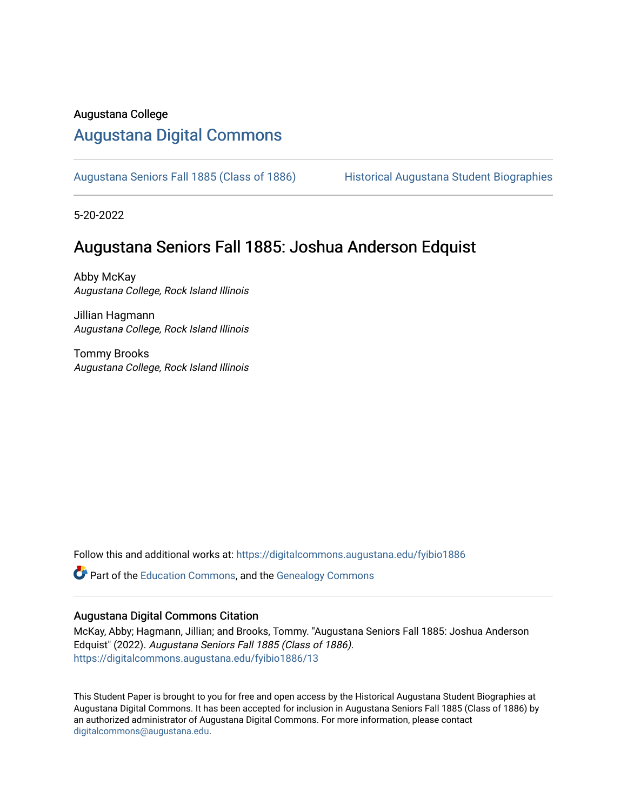#### Augustana College

### [Augustana Digital Commons](https://digitalcommons.augustana.edu/)

[Augustana Seniors Fall 1885 \(Class of 1886\)](https://digitalcommons.augustana.edu/fyibio1886) Historical Augustana Student Biographies

5-20-2022

### Augustana Seniors Fall 1885: Joshua Anderson Edquist

Abby McKay Augustana College, Rock Island Illinois

Jillian Hagmann Augustana College, Rock Island Illinois

Tommy Brooks Augustana College, Rock Island Illinois

Follow this and additional works at: [https://digitalcommons.augustana.edu/fyibio1886](https://digitalcommons.augustana.edu/fyibio1886?utm_source=digitalcommons.augustana.edu%2Ffyibio1886%2F13&utm_medium=PDF&utm_campaign=PDFCoverPages) 

Part of the [Education Commons](https://network.bepress.com/hgg/discipline/784?utm_source=digitalcommons.augustana.edu%2Ffyibio1886%2F13&utm_medium=PDF&utm_campaign=PDFCoverPages), and the [Genealogy Commons](https://network.bepress.com/hgg/discipline/1342?utm_source=digitalcommons.augustana.edu%2Ffyibio1886%2F13&utm_medium=PDF&utm_campaign=PDFCoverPages) 

#### Augustana Digital Commons Citation

McKay, Abby; Hagmann, Jillian; and Brooks, Tommy. "Augustana Seniors Fall 1885: Joshua Anderson Edquist" (2022). Augustana Seniors Fall 1885 (Class of 1886). [https://digitalcommons.augustana.edu/fyibio1886/13](https://digitalcommons.augustana.edu/fyibio1886/13?utm_source=digitalcommons.augustana.edu%2Ffyibio1886%2F13&utm_medium=PDF&utm_campaign=PDFCoverPages)

This Student Paper is brought to you for free and open access by the Historical Augustana Student Biographies at Augustana Digital Commons. It has been accepted for inclusion in Augustana Seniors Fall 1885 (Class of 1886) by an authorized administrator of Augustana Digital Commons. For more information, please contact [digitalcommons@augustana.edu](mailto:digitalcommons@augustana.edu).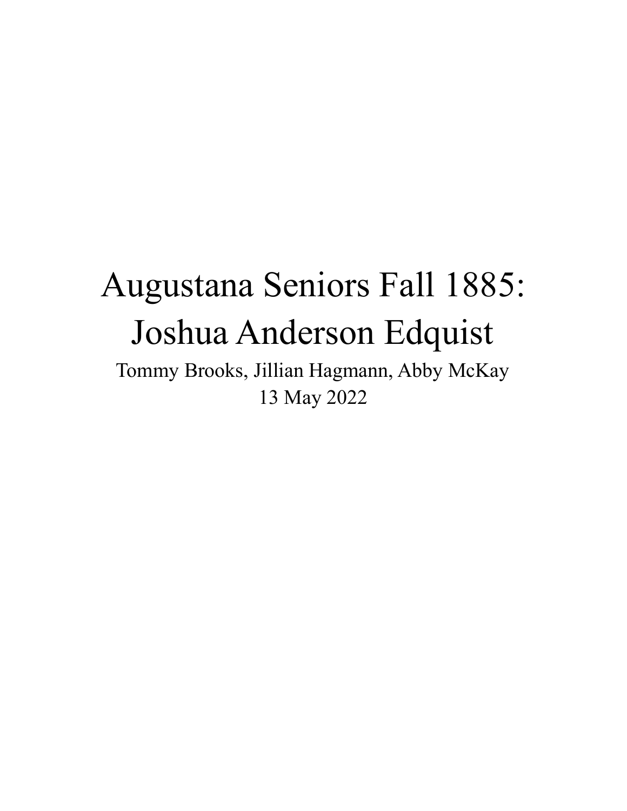# Augustana Seniors Fall 1885: Joshua Anderson Edquist

Tommy Brooks, Jillian Hagmann, Abby McKay 13 May 2022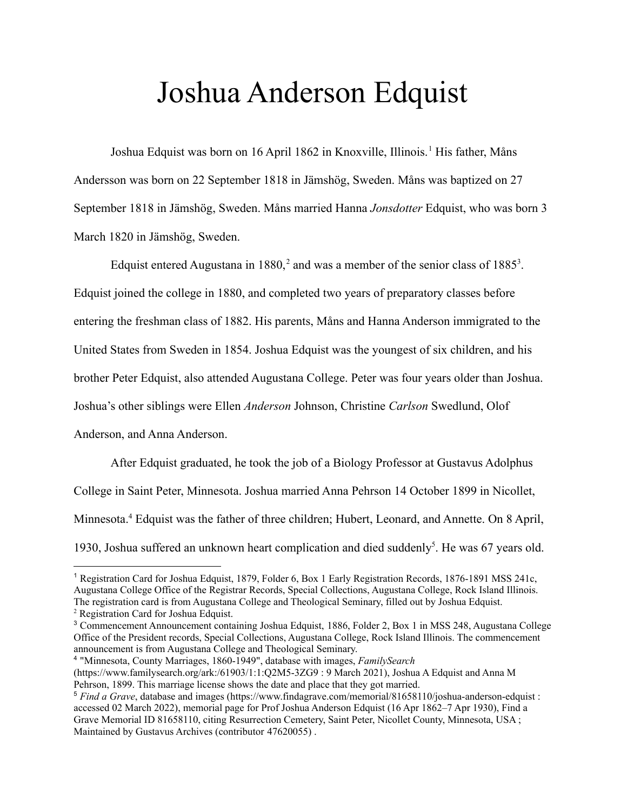### Joshua Anderson Edquist

Joshua Edquist was born on 16 April 1862 in Knoxville, Illinois.<sup>1</sup> His father, Måns Andersson was born on 22 September 1818 in Jämshög, Sweden. Måns was baptized on 27 September 1818 in Jämshög, Sweden. Måns married Hanna *Jonsdotter* Edquist, who was born 3 March 1820 in Jämshög, Sweden.

Edquist entered Augustana in 1880,<sup>2</sup> and was a member of the senior class of 1885<sup>3</sup>. Edquist joined the college in 1880, and completed two years of preparatory classes before entering the freshman class of 1882. His parents, Måns and Hanna Anderson immigrated to the United States from Sweden in 1854. Joshua Edquist was the youngest of six children, and his brother Peter Edquist, also attended Augustana College. Peter was four years older than Joshua. Joshua's other siblings were Ellen *Anderson* Johnson, Christine *Carlson* Swedlund, Olof Anderson, and Anna Anderson.

After Edquist graduated, he took the job of a Biology Professor at Gustavus Adolphus College in Saint Peter, Minnesota. Joshua married Anna Pehrson 14 October 1899 in Nicollet, Minnesota.<sup>4</sup> Edquist was the father of three children; Hubert, Leonard, and Annette. On 8 April, 1930, Joshua suffered an unknown heart complication and died suddenly<sup>5</sup>. He was 67 years old.

<sup>4</sup> "Minnesota, County Marriages, 1860-1949", database with images, *FamilySearch* (https://www.familysearch.org/ark:/61903/1:1:Q2M5-3ZG9 : 9 March 2021), Joshua A Edquist and Anna M Pehrson, 1899. This marriage license shows the date and place that they got married.

<sup>1</sup> Registration Card for Joshua Edquist, 1879, Folder 6, Box 1 Early Registration Records, 1876-1891 MSS 241c, Augustana College Office of the Registrar Records, Special Collections, Augustana College, Rock Island Illinois. The registration card is from Augustana College and Theological Seminary, filled out by Joshua Edquist.

<sup>2</sup> Registration Card for Joshua Edquist.

<sup>3</sup> Commencement Announcement containing Joshua Edquist, 1886, Folder 2, Box 1 in MSS 248, Augustana College Office of the President records, Special Collections, Augustana College, Rock Island Illinois. The commencement announcement is from Augustana College and Theological Seminary.

<sup>5</sup> *Find a Grave*, database and images (<https://www.findagrave.com/memorial/81658110/joshua-anderson-edquist> : accessed 02 March 2022), memorial page for Prof Joshua Anderson Edquist (16 Apr 1862–7 Apr 1930), Find a Grave Memorial ID [81658110](https://www.findagrave.com/memorial/81658110/joshua-anderson-edquist), citing Resurrection Cemetery, Saint Peter, Nicollet County, Minnesota, USA ; Maintained by Gustavus Archives (contributor [47620055](https://www.findagrave.com/user/profile/47620055)) .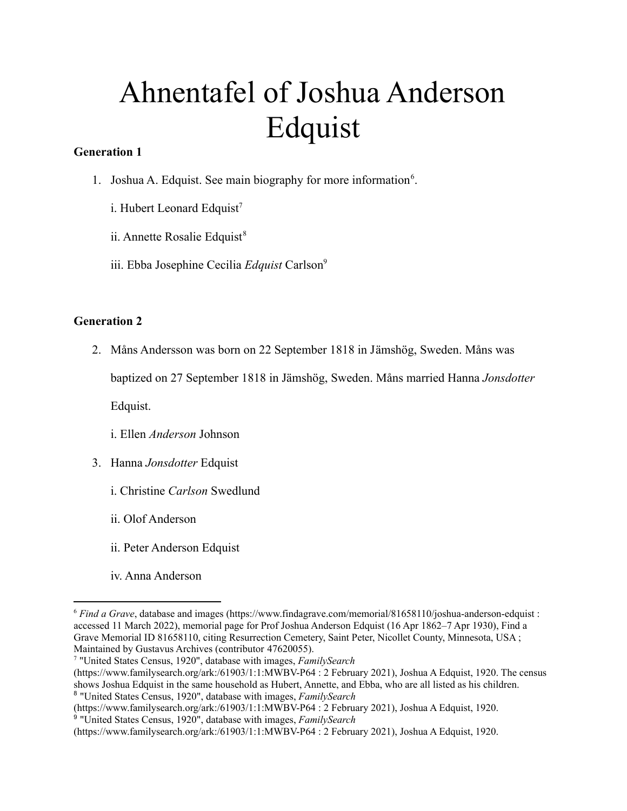# Ahnentafel of Joshua Anderson Edquist

### **Generation 1**

- 1. Joshua A. Edquist. See main biography for more information<sup>6</sup>.
	- i. Hubert Leonard Edquist<sup>7</sup>
	- ii. Annette Rosalie Edquist<sup>8</sup>
	- iii. Ebba Josephine Cecilia *Edquist* Carlson<sup>9</sup>

### **Generation 2**

2. Måns Andersson was born on 22 September 1818 in Jämshög, Sweden. Måns was

baptized on 27 September 1818 in Jämshög, Sweden. Måns married Hanna *Jonsdotter*

Edquist.

- i. Ellen *Anderson* Johnson
- 3. Hanna *Jonsdotter* Edquist
	- i. Christine *Carlson* Swedlund
	- ii. Olof Anderson
	- ii. Peter Anderson Edquist
	- iv. Anna Anderson

<sup>6</sup> *Find a Grave*, database and images [\(https://www.findagrave.com/memorial/81658110/joshua-anderson-edquist](https://www.findagrave.com/memorial/81658110/joshua-anderson-edquist) : accessed 11 March 2022), memorial page for Prof Joshua Anderson Edquist (16 Apr 1862–7 Apr 1930), Find a Grave Memorial ID [81658110](https://www.findagrave.com/memorial/81658110/joshua-anderson-edquist), citing Resurrection Cemetery, Saint Peter, Nicollet County, Minnesota, USA ; Maintained by Gustavus Archives (contributor [47620055](https://www.findagrave.com/user/profile/47620055)).

<sup>7</sup> "United States Census, 1920", database with images, *FamilySearch*

<sup>8</sup> "United States Census, 1920", database with images, *FamilySearch* (https://www.familysearch.org/ark:/61903/1:1:MWBV-P64 : 2 February 2021), Joshua A Edquist, 1920. The census shows Joshua Edquist in the same household as Hubert, Annette, and Ebba, who are all listed as his children.

<sup>(</sup>https://www.familysearch.org/ark:/61903/1:1:MWBV-P64 : 2 February 2021), Joshua A Edquist, 1920.

<sup>9</sup> "United States Census, 1920", database with images, *FamilySearch*

<sup>(</sup>https://www.familysearch.org/ark:/61903/1:1:MWBV-P64 : 2 February 2021), Joshua A Edquist, 1920.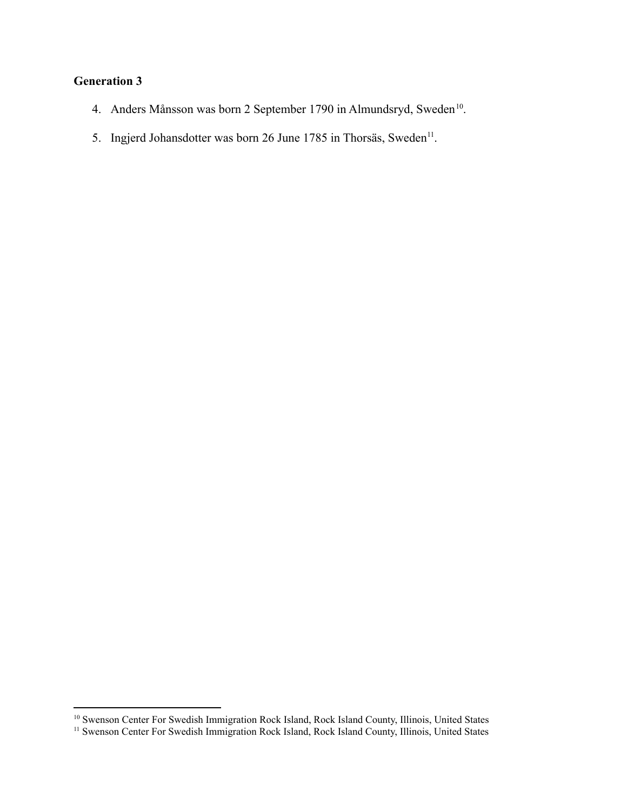### **Generation 3**

- 4. Anders Månsson was born 2 September 1790 in Almundsryd, Sweden<sup>10</sup>.
- 5. Ingjerd Johansdotter was born 26 June 1785 in Thorsäs, Sweden<sup>11</sup>.

<sup>&</sup>lt;sup>10</sup> Swenson Center For Swedish Immigration Rock Island, Rock Island County, Illinois, United States

<sup>&</sup>lt;sup>11</sup> Swenson Center For Swedish Immigration Rock Island, Rock Island County, Illinois, United States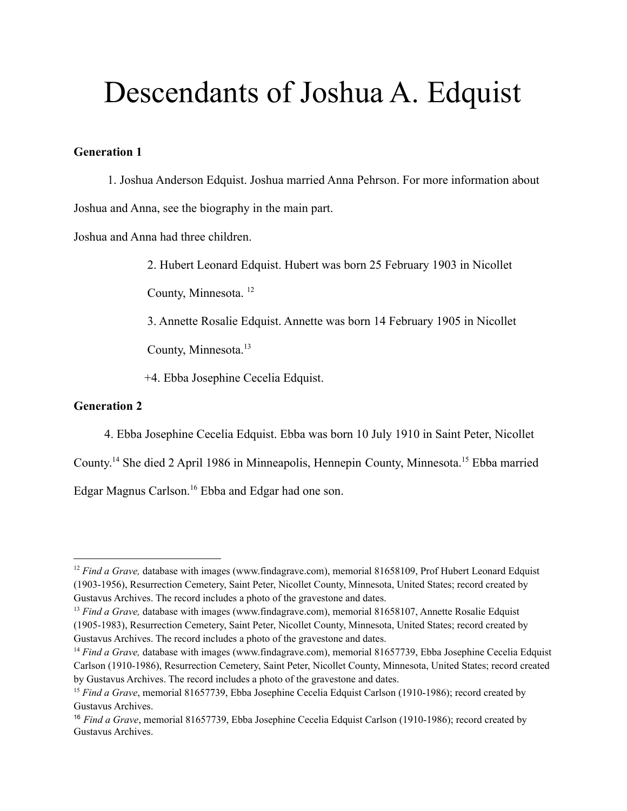# Descendants of Joshua A. Edquist

#### **Generation 1**

1. Joshua Anderson Edquist. Joshua married Anna Pehrson. For more information about Joshua and Anna, see the biography in the main part.

Joshua and Anna had three children.

2. Hubert Leonard Edquist. Hubert was born 25 February 1903 in Nicollet

County, Minnesota. <sup>12</sup>

3. Annette Rosalie Edquist. Annette was born 14 February 1905 in Nicollet

County, Minnesota.<sup>13</sup>

+4. Ebba Josephine Cecelia Edquist.

#### **Generation 2**

4. Ebba Josephine Cecelia Edquist. Ebba was born 10 July 1910 in Saint Peter, Nicollet

County.<sup>14</sup> She died 2 April 1986 in Minneapolis, Hennepin County, Minnesota.<sup>15</sup> Ebba married

Edgar Magnus Carlson.<sup>16</sup> Ebba and Edgar had one son.

<sup>&</sup>lt;sup>12</sup> *Find a Grave*, database with images (www.findagrave.com), memorial 81658109, Prof Hubert Leonard Edquist (1903-1956), Resurrection Cemetery, Saint Peter, Nicollet County, Minnesota, United States; record created by Gustavus Archives. The record includes a photo of the gravestone and dates.

<sup>&</sup>lt;sup>13</sup> *Find a Grave*, database with images (www.findagrave.com), memorial 81658107, Annette Rosalie Edquist (1905-1983), Resurrection Cemetery, Saint Peter, Nicollet County, Minnesota, United States; record created by Gustavus Archives. The record includes a photo of the gravestone and dates.

<sup>&</sup>lt;sup>14</sup> *Find a Grave*, database with images (www.findagrave.com), memorial 81657739, Ebba Josephine Cecelia Edquist Carlson (1910-1986), Resurrection Cemetery, Saint Peter, Nicollet County, Minnesota, United States; record created by Gustavus Archives. The record includes a photo of the gravestone and dates.

<sup>15</sup> *Find a Grave*, memorial 81657739, Ebba Josephine Cecelia Edquist Carlson (1910-1986); record created by Gustavus Archives.

<sup>16</sup> *Find a Grave*, memorial 81657739, Ebba Josephine Cecelia Edquist Carlson (1910-1986); record created by Gustavus Archives.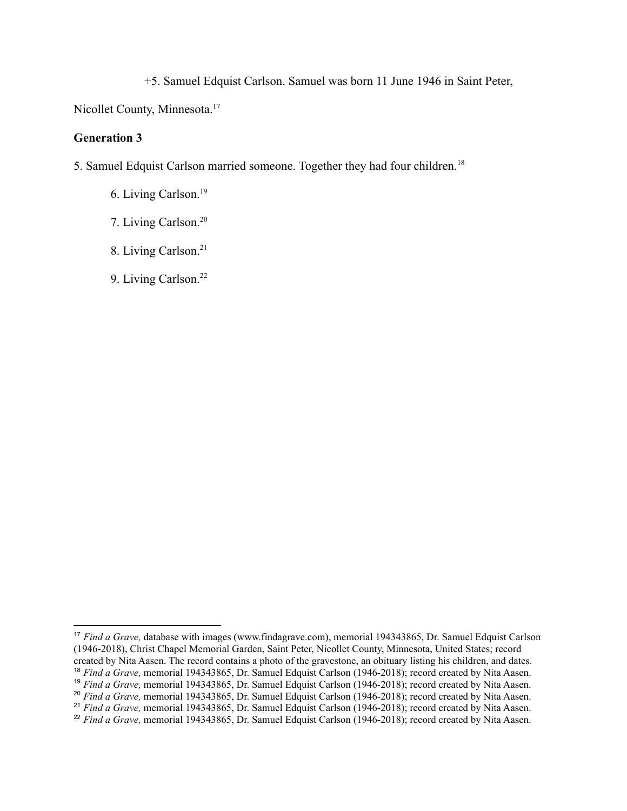+5. Samuel Edquist Carlson. Samuel was born 11 June 1946 in Saint Peter,

Nicollet County, Minnesota.<sup>17</sup>

#### **Generation 3**

5. Samuel Edquist Carlson married someone. Together they had four children.<sup>18</sup>

6. Living Carlson.<sup>19</sup>

7. Living Carlson.<sup>20</sup>

8. Living Carlson.<sup>21</sup>

9. Living Carlson.<sup>22</sup>

<sup>&</sup>lt;sup>21</sup> *Find a Grave*, memorial 194343865, Dr. Samuel Edquist Carlson (1946-2018); record created by Nita Aasen. <sup>20</sup> *Find a Grave,* memorial 194343865, Dr. Samuel Edquist Carlson (1946-2018); record created by Nita Aasen. <sup>19</sup> *Find a Grave, memorial 194343865, Dr. Samuel Edquist Carlson (1946-2018); record created by Nita Aasen.* <sup>18</sup> *Find a Grave,* memorial 194343865, Dr. Samuel Edquist Carlson (1946-2018); record created by Nita Aasen. <sup>17</sup> *Find a Grave,* database with images (www.findagrave.com), memorial 194343865, Dr. Samuel Edquist Carlson (1946-2018), Christ Chapel Memorial Garden, Saint Peter, Nicollet County, Minnesota, United States; record created by Nita Aasen. The record contains a photo of the gravestone, an obituary listing his children, and dates.

<sup>&</sup>lt;sup>22</sup> *Find a Grave*, memorial 194343865, Dr. Samuel Edquist Carlson (1946-2018); record created by Nita Aasen.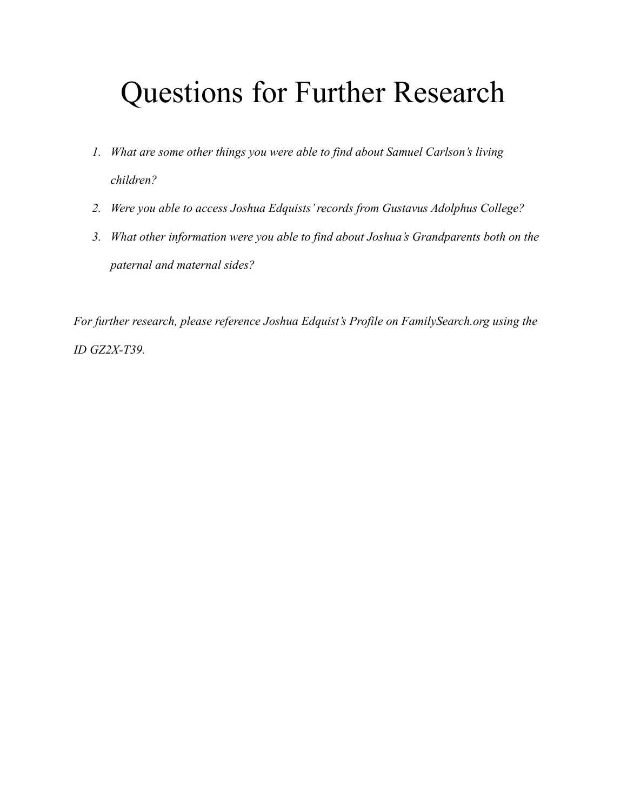# Questions for Further Research

- *1. What are some other things you were able to find about Samuel Carlson's living children?*
- *2. Were you able to access Joshua Edquists' records from Gustavus Adolphus College?*
- *3. What other information were you able to find about Joshua's Grandparents both on the paternal and maternal sides?*

*For further research, please reference Joshua Edquist's Profile on FamilySearch.org using the ID GZ2X-T39.*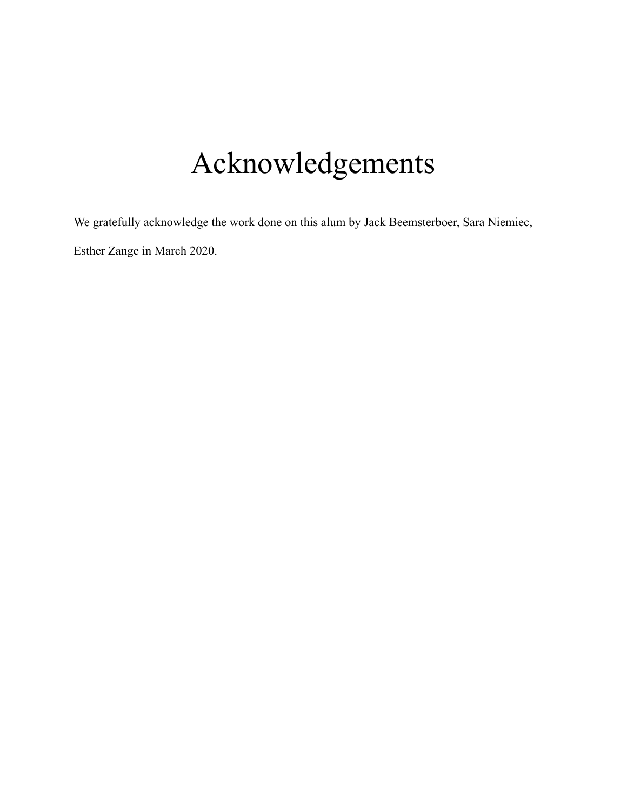# Acknowledgements

We gratefully acknowledge the work done on this alum by Jack Beemsterboer, Sara Niemiec, Esther Zange in March 2020.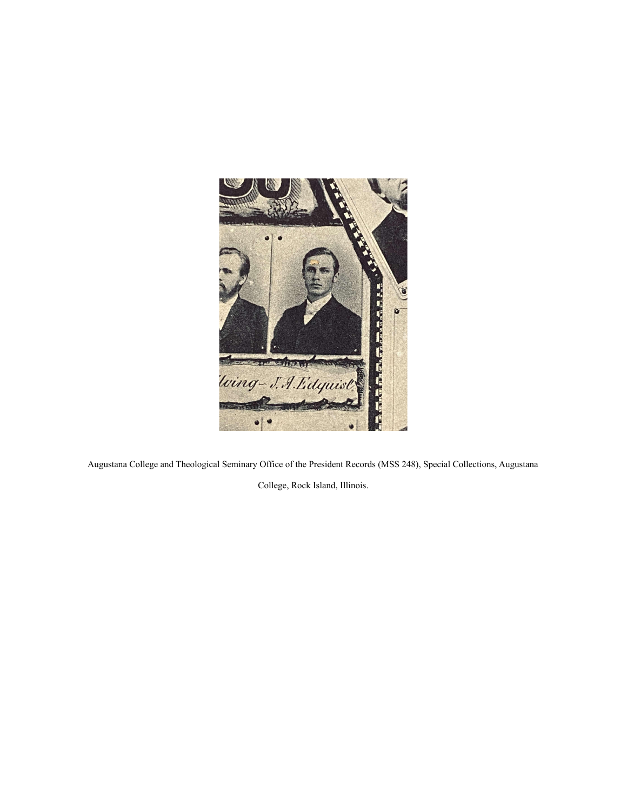

Augustana College and Theological Seminary Office of the President Records (MSS 248), Special Collections, Augustana

College, Rock Island, Illinois.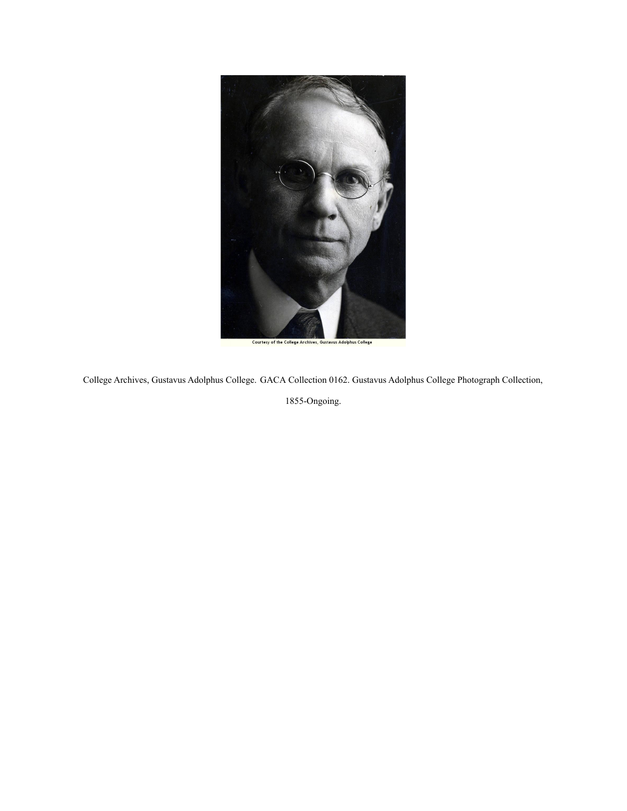

College Archives, Gustavus Adolphus College. GACA [Collection 0162. Gustavus Adolphus College Photograph Collection,](https://archives.gac.edu/digital/collection/p15292coll2/search/searchterm/GACA%20Collection%200162.%20Gustavus%20Adolphus%20College%20Photograph%20Collection%2C%201855-Ongoing./field/source/mode/exact/conn/and)

[1855-Ongoing.](https://archives.gac.edu/digital/collection/p15292coll2/search/searchterm/GACA%20Collection%200162.%20Gustavus%20Adolphus%20College%20Photograph%20Collection%2C%201855-Ongoing./field/source/mode/exact/conn/and)